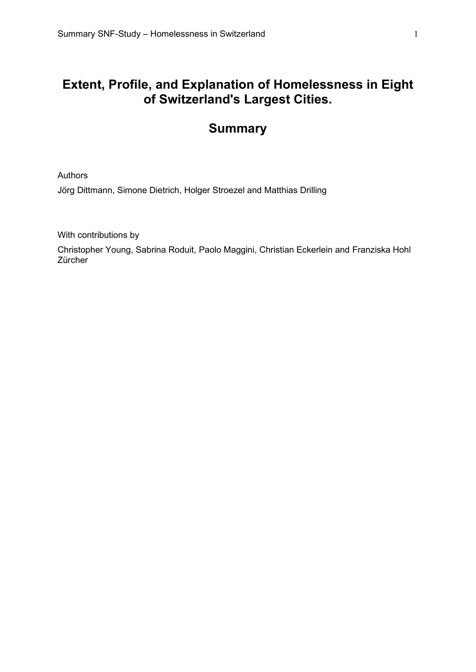# **Extent, Profile, and Explanation of Homelessness in Eight of Switzerland's Largest Cities.**

# **Summary**

Authors

Jörg Dittmann, Simone Dietrich, Holger Stroezel and Matthias Drilling

With contributions by

Christopher Young, Sabrina Roduit, Paolo Maggini, Christian Eckerlein and Franziska Hohl Zürcher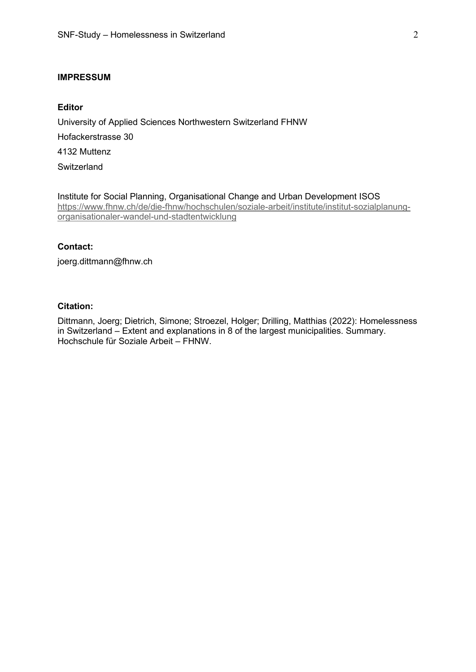# **IMPRESSUM**

# **Editor**

University of Applied Sciences Northwestern Switzerland FHNW Hofackerstrasse 30 4132 Muttenz **Switzerland** 

Institute for Social Planning, Organisational Change and Urban Development ISOS [https://www.fhnw.ch/de/die-fhnw/hochschulen/soziale-arbeit/institute/institut-sozialplanung](https://www.fhnw.ch/de/die-fhnw/hochschulen/soziale-arbeit/institute/institut-sozialplanung-organisationaler-wandel-und-stadtentwicklung)[organisationaler-wandel-und-stadtentwicklung](https://www.fhnw.ch/de/die-fhnw/hochschulen/soziale-arbeit/institute/institut-sozialplanung-organisationaler-wandel-und-stadtentwicklung)

#### **Contact:**

joerg.dittmann@fhnw.ch

# **Citation:**

Dittmann, Joerg; Dietrich, Simone; Stroezel, Holger; Drilling, Matthias (2022): Homelessness in Switzerland – Extent and explanations in 8 of the largest municipalities. Summary. Hochschule für Soziale Arbeit – FHNW.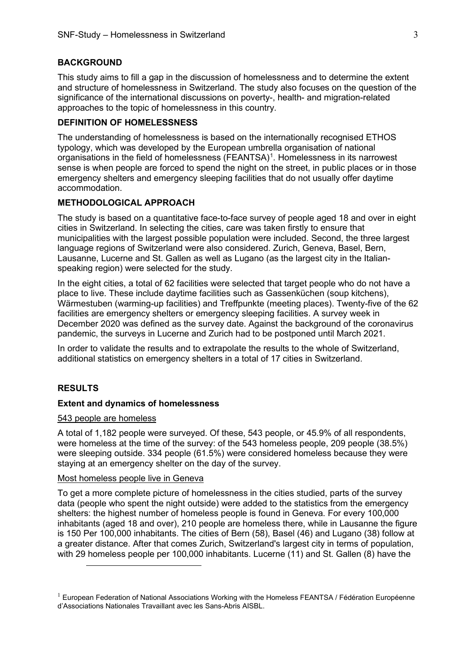## **BACKGROUND**

This study aims to fill a gap in the discussion of homelessness and to determine the extent and structure of homelessness in Switzerland. The study also focuses on the question of the significance of the international discussions on poverty-, health- and migration-related approaches to the topic of homelessness in this country.

## **DEFINITION OF HOMELESSNESS**

The understanding of homelessness is based on the internationally recognised ETHOS typology, which was developed by the European umbrella organisation of national organisations in the field of homelessness (FEANTSA)<sup>[1](#page-2-0)</sup>. Homelessness in its narrowest sense is when people are forced to spend the night on the street, in public places or in those emergency shelters and emergency sleeping facilities that do not usually offer daytime accommodation.

# **METHODOLOGICAL APPROACH**

The study is based on a quantitative face-to-face survey of people aged 18 and over in eight cities in Switzerland. In selecting the cities, care was taken firstly to ensure that municipalities with the largest possible population were included. Second, the three largest language regions of Switzerland were also considered. Zurich, Geneva, Basel, Bern, Lausanne, Lucerne and St. Gallen as well as Lugano (as the largest city in the Italianspeaking region) were selected for the study.

In the eight cities, a total of 62 facilities were selected that target people who do not have a place to live. These include daytime facilities such as Gassenküchen (soup kitchens), Wärmestuben (warming-up facilities) and Treffpunkte (meeting places). Twenty-five of the 62 facilities are emergency shelters or emergency sleeping facilities. A survey week in December 2020 was defined as the survey date. Against the background of the coronavirus pandemic, the surveys in Lucerne and Zurich had to be postponed until March 2021.

In order to validate the results and to extrapolate the results to the whole of Switzerland, additional statistics on emergency shelters in a total of 17 cities in Switzerland.

# **RESULTS**

## **Extent and dynamics of homelessness**

# 543 people are homeless

A total of 1,182 people were surveyed. Of these, 543 people, or 45.9% of all respondents, were homeless at the time of the survey: of the 543 homeless people, 209 people (38.5%) were sleeping outside. 334 people (61.5%) were considered homeless because they were staying at an emergency shelter on the day of the survey.

## Most homeless people live in Geneva

To get a more complete picture of homelessness in the cities studied, parts of the survey data (people who spent the night outside) were added to the statistics from the emergency shelters: the highest number of homeless people is found in Geneva. For every 100,000 inhabitants (aged 18 and over), 210 people are homeless there, while in Lausanne the figure is 150 Per 100,000 inhabitants. The cities of Bern (58), Basel (46) and Lugano (38) follow at a greater distance. After that comes Zurich, Switzerland's largest city in terms of population, with 29 homeless people per 100,000 inhabitants. Lucerne (11) and St. Gallen (8) have the

<span id="page-2-0"></span><sup>&</sup>lt;sup>1</sup> European Federation of National Associations Working with the Homeless FEANTSA / Fédération Européenne d'Associations Nationales Travaillant avec les Sans-Abris AISBL.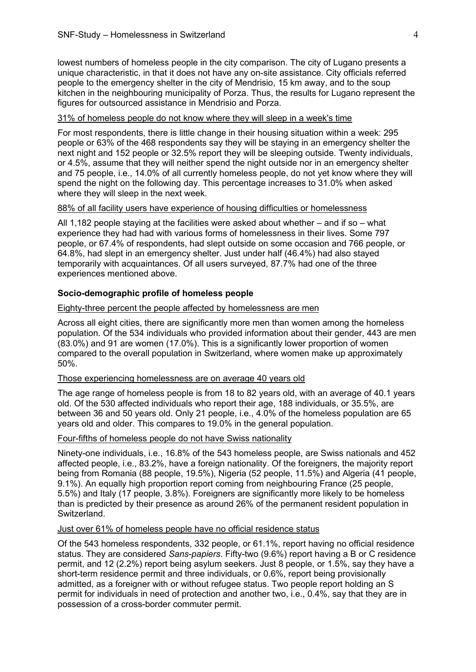lowest numbers of homeless people in the city comparison. The city of Lugano presents a unique characteristic, in that it does not have any on-site assistance. City officials referred people to the emergency shelter in the city of Mendrisio, 15 km away, and to the soup kitchen in the neighbouring municipality of Porza. Thus, the results for Lugano represent the figures for outsourced assistance in Mendrisio and Porza.

# 31% of homeless people do not know where they will sleep in a week's time

For most respondents, there is little change in their housing situation within a week: 295 people or 63% of the 468 respondents say they will be staying in an emergency shelter the next night and 152 people or 32.5% report they will be sleeping outside. Twenty individuals, or 4.5%, assume that they will neither spend the night outside nor in an emergency shelter and 75 people, i.e., 14.0% of all currently homeless people, do not yet know where they will spend the night on the following day. This percentage increases to 31.0% when asked where they will sleep in the next week.

## 88% of all facility users have experience of housing difficulties or homelessness

All 1,182 people staying at the facilities were asked about whether – and if so – what experience they had had with various forms of homelessness in their lives. Some 797 people, or 67.4% of respondents, had slept outside on some occasion and 766 people, or 64.8%, had slept in an emergency shelter. Just under half (46.4%) had also stayed temporarily with acquaintances. Of all users surveyed, 87.7% had one of the three experiences mentioned above.

## **Socio-demographic profile of homeless people**

## Eighty-three percent the people affected by homelessness are men

Across all eight cities, there are significantly more men than women among the homeless population. Of the 534 individuals who provided information about their gender, 443 are men (83.0%) and 91 are women (17.0%). This is a significantly lower proportion of women compared to the overall population in Switzerland, where women make up approximately 50%.

## Those experiencing homelessness are on average 40 years old

The age range of homeless people is from 18 to 82 years old, with an average of 40.1 years old. Of the 530 affected individuals who report their age, 188 individuals, or 35.5%, are between 36 and 50 years old. Only 21 people, i.e., 4.0% of the homeless population are 65 years old and older. This compares to 19.0% in the general population.

#### Four-fifths of homeless people do not have Swiss nationality

Ninety-one individuals, i.e., 16.8% of the 543 homeless people, are Swiss nationals and 452 affected people, i.e., 83.2%, have a foreign nationality. Of the foreigners, the majority report being from Romania (88 people, 19.5%), Nigeria (52 people, 11.5%) and Algeria (41 people, 9.1%). An equally high proportion report coming from neighbouring France (25 people, 5.5%) and Italy (17 people, 3.8%). Foreigners are significantly more likely to be homeless than is predicted by their presence as around 26% of the permanent resident population in **Switzerland** 

## Just over 61% of homeless people have no official residence status

Of the 543 homeless respondents, 332 people, or 61.1%, report having no official residence status. They are considered *Sans-papiers*. Fifty-two (9.6%) report having a B or C residence permit, and 12 (2.2%) report being asylum seekers. Just 8 people, or 1.5%, say they have a short-term residence permit and three individuals, or 0.6%, report being provisionally admitted, as a foreigner with or without refugee status. Two people report holding an S permit for individuals in need of protection and another two, i.e., 0.4%, say that they are in possession of a cross-border commuter permit.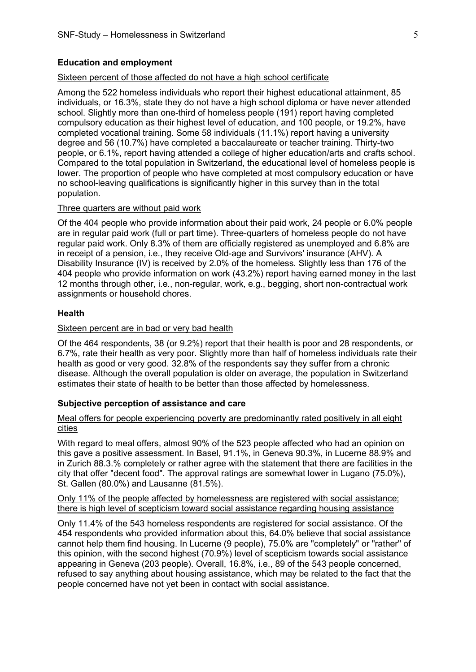## **Education and employment**

## Sixteen percent of those affected do not have a high school certificate

Among the 522 homeless individuals who report their highest educational attainment, 85 individuals, or 16.3%, state they do not have a high school diploma or have never attended school. Slightly more than one-third of homeless people (191) report having completed compulsory education as their highest level of education, and 100 people, or 19.2%, have completed vocational training. Some 58 individuals (11.1%) report having a university degree and 56 (10.7%) have completed a baccalaureate or teacher training. Thirty-two people, or 6.1%, report having attended a college of higher education/arts and crafts school. Compared to the total population in Switzerland, the educational level of homeless people is lower. The proportion of people who have completed at most compulsory education or have no school-leaving qualifications is significantly higher in this survey than in the total population.

#### Three quarters are without paid work

Of the 404 people who provide information about their paid work, 24 people or 6.0% people are in regular paid work (full or part time). Three-quarters of homeless people do not have regular paid work. Only 8.3% of them are officially registered as unemployed and 6.8% are in receipt of a pension, i.e., they receive Old-age and Survivors' insurance (AHV). A Disability Insurance (IV) is received by 2.0% of the homeless. Slightly less than 176 of the 404 people who provide information on work (43.2%) report having earned money in the last 12 months through other, i.e., non-regular, work, e.g., begging, short non-contractual work assignments or household chores.

#### **Health**

# Sixteen percent are in bad or very bad health

Of the 464 respondents, 38 (or 9.2%) report that their health is poor and 28 respondents, or 6.7%, rate their health as very poor. Slightly more than half of homeless individuals rate their health as good or very good. 32.8% of the respondents say they suffer from a chronic disease. Although the overall population is older on average, the population in Switzerland estimates their state of health to be better than those affected by homelessness.

#### **Subjective perception of assistance and care**

# Meal offers for people experiencing poverty are predominantly rated positively in all eight cities

With regard to meal offers, almost 90% of the 523 people affected who had an opinion on this gave a positive assessment. In Basel, 91.1%, in Geneva 90.3%, in Lucerne 88.9% and in Zurich 88.3.% completely or rather agree with the statement that there are facilities in the city that offer "decent food". The approval ratings are somewhat lower in Lugano (75.0%), St. Gallen (80.0%) and Lausanne (81.5%).

# Only 11% of the people affected by homelessness are registered with social assistance; there is high level of scepticism toward social assistance regarding housing assistance

Only 11.4% of the 543 homeless respondents are registered for social assistance. Of the 454 respondents who provided information about this, 64.0% believe that social assistance cannot help them find housing. In Lucerne (9 people), 75.0% are "completely" or "rather" of this opinion, with the second highest (70.9%) level of scepticism towards social assistance appearing in Geneva (203 people). Overall, 16.8%, i.e., 89 of the 543 people concerned, refused to say anything about housing assistance, which may be related to the fact that the people concerned have not yet been in contact with social assistance.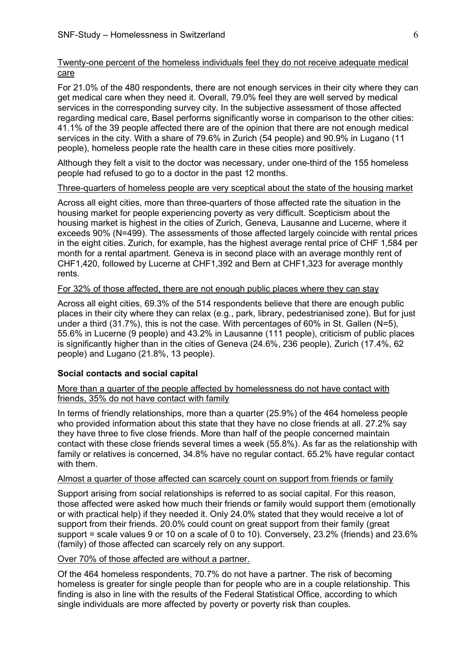# Twenty-one percent of the homeless individuals feel they do not receive adequate medical care

For 21.0% of the 480 respondents, there are not enough services in their city where they can get medical care when they need it. Overall, 79.0% feel they are well served by medical services in the corresponding survey city. In the subjective assessment of those affected regarding medical care, Basel performs significantly worse in comparison to the other cities: 41.1% of the 39 people affected there are of the opinion that there are not enough medical services in the city. With a share of 79.6% in Zurich (54 people) and 90.9% in Lugano (11 people), homeless people rate the health care in these cities more positively.

Although they felt a visit to the doctor was necessary, under one-third of the 155 homeless people had refused to go to a doctor in the past 12 months.

# Three-quarters of homeless people are very sceptical about the state of the housing market

Across all eight cities, more than three-quarters of those affected rate the situation in the housing market for people experiencing poverty as very difficult. Scepticism about the housing market is highest in the cities of Zurich, Geneva, Lausanne and Lucerne, where it exceeds 90% (N=499). The assessments of those affected largely coincide with rental prices in the eight cities. Zurich, for example, has the highest average rental price of CHF 1,584 per month for a rental apartment. Geneva is in second place with an average monthly rent of CHF1,420, followed by Lucerne at CHF1,392 and Bern at CHF1,323 for average monthly rents.

# For 32% of those affected, there are not enough public places where they can stay

Across all eight cities, 69.3% of the 514 respondents believe that there are enough public places in their city where they can relax (e.g., park, library, pedestrianised zone). But for just under a third (31.7%), this is not the case. With percentages of 60% in St. Gallen (N=5), 55.6% in Lucerne (9 people) and 43.2% in Lausanne (111 people), criticism of public places is significantly higher than in the cities of Geneva (24.6%, 236 people), Zurich (17.4%, 62 people) and Lugano (21.8%, 13 people).

# **Social contacts and social capital**

More than a quarter of the people affected by homelessness do not have contact with friends, 35% do not have contact with family

In terms of friendly relationships, more than a quarter (25.9%) of the 464 homeless people who provided information about this state that they have no close friends at all. 27.2% say they have three to five close friends. More than half of the people concerned maintain contact with these close friends several times a week (55.8%). As far as the relationship with family or relatives is concerned, 34.8% have no regular contact. 65.2% have regular contact with them.

# Almost a quarter of those affected can scarcely count on support from friends or family

Support arising from social relationships is referred to as social capital. For this reason, those affected were asked how much their friends or family would support them (emotionally or with practical help) if they needed it. Only 24.0% stated that they would receive a lot of support from their friends. 20.0% could count on great support from their family (great support = scale values 9 or 10 on a scale of 0 to 10). Conversely, 23.2% (friends) and 23.6% (family) of those affected can scarcely rely on any support.

# Over 70% of those affected are without a partner.

Of the 464 homeless respondents, 70.7% do not have a partner. The risk of becoming homeless is greater for single people than for people who are in a couple relationship. This finding is also in line with the results of the Federal Statistical Office, according to which single individuals are more affected by poverty or poverty risk than couples.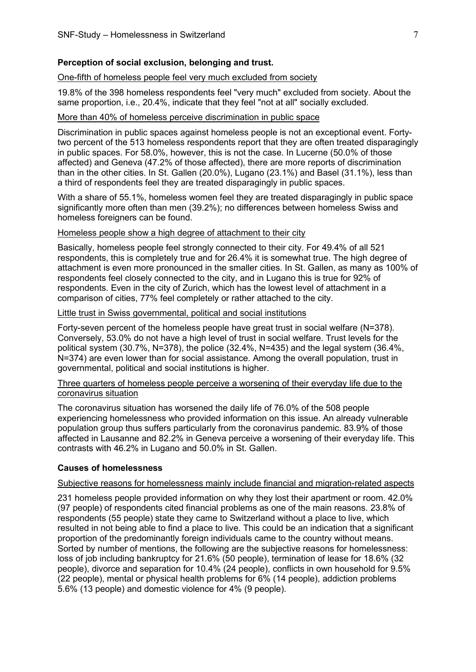## **Perception of social exclusion, belonging and trust.**

# One-fifth of homeless people feel very much excluded from society

19.8% of the 398 homeless respondents feel "very much" excluded from society. About the same proportion, i.e., 20.4%, indicate that they feel "not at all" socially excluded.

## More than 40% of homeless perceive discrimination in public space

Discrimination in public spaces against homeless people is not an exceptional event. Fortytwo percent of the 513 homeless respondents report that they are often treated disparagingly in public spaces. For 58.0%, however, this is not the case. In Lucerne (50.0% of those affected) and Geneva (47.2% of those affected), there are more reports of discrimination than in the other cities. In St. Gallen (20.0%), Lugano (23.1%) and Basel (31.1%), less than a third of respondents feel they are treated disparagingly in public spaces.

With a share of 55.1%, homeless women feel they are treated disparagingly in public space significantly more often than men (39.2%); no differences between homeless Swiss and homeless foreigners can be found.

### Homeless people show a high degree of attachment to their city

Basically, homeless people feel strongly connected to their city. For 49.4% of all 521 respondents, this is completely true and for 26.4% it is somewhat true. The high degree of attachment is even more pronounced in the smaller cities. In St. Gallen, as many as 100% of respondents feel closely connected to the city, and in Lugano this is true for 92% of respondents. Even in the city of Zurich, which has the lowest level of attachment in a comparison of cities, 77% feel completely or rather attached to the city.

## Little trust in Swiss governmental, political and social institutions

Forty-seven percent of the homeless people have great trust in social welfare (N=378). Conversely, 53.0% do not have a high level of trust in social welfare. Trust levels for the political system (30.7%, N=378), the police (32.4%, N=435) and the legal system (36.4%, N=374) are even lower than for social assistance. Among the overall population, trust in governmental, political and social institutions is higher.

# Three quarters of homeless people perceive a worsening of their everyday life due to the coronavirus situation

The coronavirus situation has worsened the daily life of 76.0% of the 508 people experiencing homelessness who provided information on this issue. An already vulnerable population group thus suffers particularly from the coronavirus pandemic. 83.9% of those affected in Lausanne and 82.2% in Geneva perceive a worsening of their everyday life. This contrasts with 46.2% in Lugano and 50.0% in St. Gallen.

#### **Causes of homelessness**

#### Subjective reasons for homelessness mainly include financial and migration-related aspects

231 homeless people provided information on why they lost their apartment or room. 42.0% (97 people) of respondents cited financial problems as one of the main reasons. 23.8% of respondents (55 people) state they came to Switzerland without a place to live, which resulted in not being able to find a place to live. This could be an indication that a significant proportion of the predominantly foreign individuals came to the country without means. Sorted by number of mentions, the following are the subjective reasons for homelessness: loss of job including bankruptcy for 21.6% (50 people), termination of lease for 18.6% (32 people), divorce and separation for 10.4% (24 people), conflicts in own household for 9.5% (22 people), mental or physical health problems for 6% (14 people), addiction problems 5.6% (13 people) and domestic violence for 4% (9 people).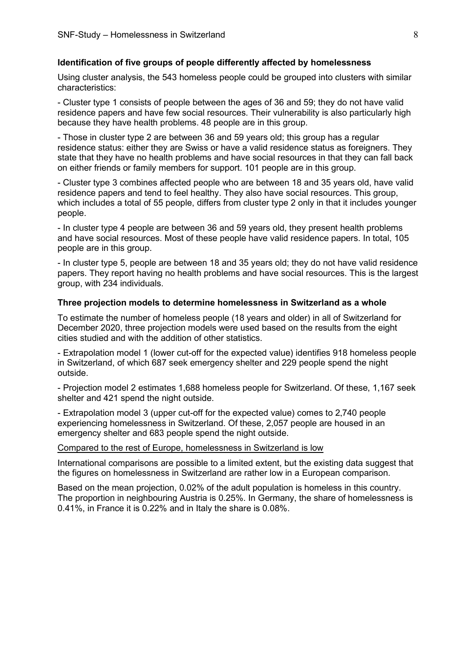#### **Identification of five groups of people differently affected by homelessness**

Using cluster analysis, the 543 homeless people could be grouped into clusters with similar characteristics:

- Cluster type 1 consists of people between the ages of 36 and 59; they do not have valid residence papers and have few social resources. Their vulnerability is also particularly high because they have health problems. 48 people are in this group.

- Those in cluster type 2 are between 36 and 59 years old; this group has a regular residence status: either they are Swiss or have a valid residence status as foreigners. They state that they have no health problems and have social resources in that they can fall back on either friends or family members for support. 101 people are in this group.

- Cluster type 3 combines affected people who are between 18 and 35 years old, have valid residence papers and tend to feel healthy. They also have social resources. This group, which includes a total of 55 people, differs from cluster type 2 only in that it includes younger people.

- In cluster type 4 people are between 36 and 59 years old, they present health problems and have social resources. Most of these people have valid residence papers. In total, 105 people are in this group.

- In cluster type 5, people are between 18 and 35 years old; they do not have valid residence papers. They report having no health problems and have social resources. This is the largest group, with 234 individuals.

## **Three projection models to determine homelessness in Switzerland as a whole**

To estimate the number of homeless people (18 years and older) in all of Switzerland for December 2020, three projection models were used based on the results from the eight cities studied and with the addition of other statistics.

- Extrapolation model 1 (lower cut-off for the expected value) identifies 918 homeless people in Switzerland, of which 687 seek emergency shelter and 229 people spend the night outside.

- Projection model 2 estimates 1,688 homeless people for Switzerland. Of these, 1,167 seek shelter and 421 spend the night outside.

- Extrapolation model 3 (upper cut-off for the expected value) comes to 2,740 people experiencing homelessness in Switzerland. Of these, 2,057 people are housed in an emergency shelter and 683 people spend the night outside.

## Compared to the rest of Europe, homelessness in Switzerland is low

International comparisons are possible to a limited extent, but the existing data suggest that the figures on homelessness in Switzerland are rather low in a European comparison.

Based on the mean projection, 0.02% of the adult population is homeless in this country. The proportion in neighbouring Austria is 0.25%. In Germany, the share of homelessness is 0.41%, in France it is 0.22% and in Italy the share is 0.08%.